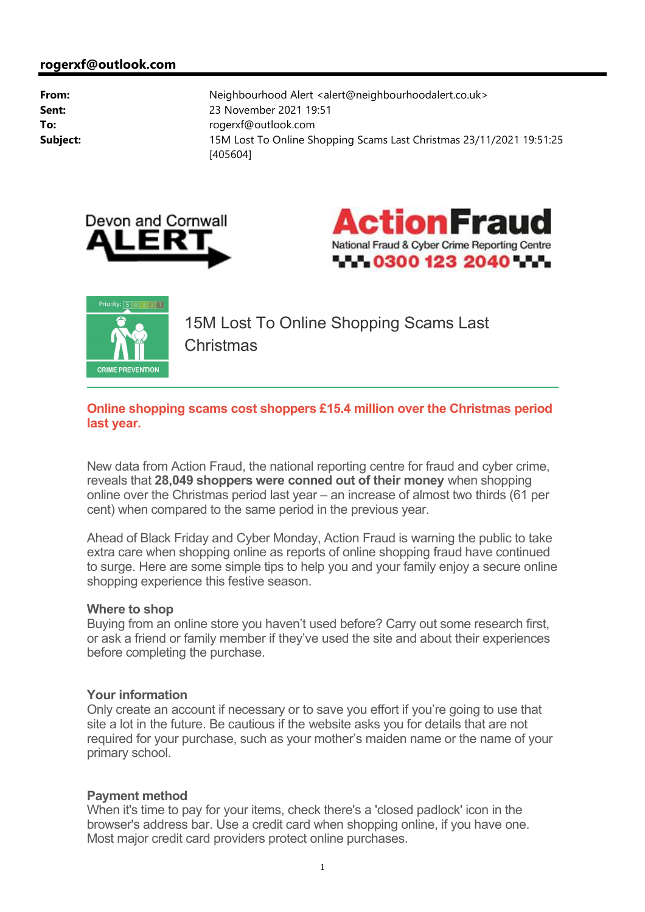





15M Lost To Online Shopping Scams Last Christmas

### **Online shopping scams cost shoppers £15.4 million over the Christmas period last year.**

New data from Action Fraud, the national reporting centre for fraud and cyber crime, reveals that **28,049 shoppers were conned out of their money** when shopping online over the Christmas period last year – an increase of almost two thirds (61 per cent) when compared to the same period in the previous year.

Ahead of Black Friday and Cyber Monday, Action Fraud is warning the public to take extra care when shopping online as reports of online shopping fraud have continued to surge. Here are some simple tips to help you and your family enjoy a secure online shopping experience this festive season.

#### **Where to shop**

Buying from an online store you haven't used before? Carry out some research first, or ask a friend or family member if they've used the site and about their experiences before completing the purchase.

## **Your information**

Only create an account if necessary or to save you effort if you're going to use that site a lot in the future. Be cautious if the website asks you for details that are not required for your purchase, such as your mother's maiden name or the name of your primary school.

## **Payment method**

When it's time to pay for your items, check there's a 'closed padlock' icon in the browser's address bar. Use a credit card when shopping online, if you have one. Most major credit card providers protect online purchases.